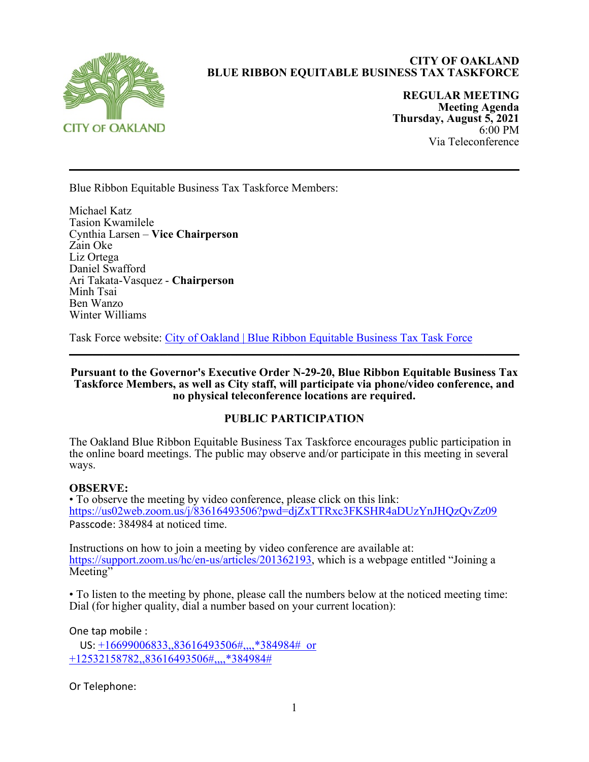

# **CITY OF OAKLAND BLUE RIBBON EQUITABLE BUSINESS TAX TASKFORCE**

**REGULAR MEETING Meeting Agenda Thursday, August 5, 2021** 6:00 PM Via Teleconference

Blue Ribbon Equitable Business Tax Taskforce Members:

Michael Katz Tasion Kwamilele Cynthia Larsen – **Vice Chairperson** Zain Oke Liz Ortega Daniel Swafford Ari Takata-Vasquez - **Chairperson** Minh Tsai Ben Wanzo Winter Williams

Task Force website: City of Oakland | Blue Ribbon Equitable Business Tax Task Force

**Pursuant to the Governor's Executive Order N-29-20, Blue Ribbon Equitable Business Tax Taskforce Members, as well as City staff, will participate via phone/video conference, and no physical teleconference locations are required.**

 $\mathcal{L}_\mathcal{L} = \mathcal{L}_\mathcal{L} = \mathcal{L}_\mathcal{L} = \mathcal{L}_\mathcal{L} = \mathcal{L}_\mathcal{L} = \mathcal{L}_\mathcal{L} = \mathcal{L}_\mathcal{L} = \mathcal{L}_\mathcal{L} = \mathcal{L}_\mathcal{L} = \mathcal{L}_\mathcal{L} = \mathcal{L}_\mathcal{L} = \mathcal{L}_\mathcal{L} = \mathcal{L}_\mathcal{L} = \mathcal{L}_\mathcal{L} = \mathcal{L}_\mathcal{L} = \mathcal{L}_\mathcal{L} = \mathcal{L}_\mathcal{L}$ 

### **PUBLIC PARTICIPATION**

The Oakland Blue Ribbon Equitable Business Tax Taskforce encourages public participation in the online board meetings. The public may observe and/or participate in this meeting in several ways.

### **OBSERVE:**

• To observe the meeting by video conference, please click on this link: <https://us02web.zoom.us/j/83616493506?pwd=djZxTTRxc3FKSHR4aDUzYnJHQzQvZz09> Passcode: 384984 at noticed time.

Instructions on how to join a meeting by video conference are available at: [https://support.zoom.us/hc/en-us/articles/201362193,](https://support.zoom.us/hc/en-us/articles/201362193) which is a webpage entitled "Joining a Meeting"

• To listen to the meeting by phone, please call the numbers below at the noticed meeting time: Dial (for higher quality, dial a number based on your current location):

One tap mobile :

US: +16699006833,,83616493506#,,,,\*384984# or +12532158782,,83616493506#,,,,\*384984#

Or Telephone: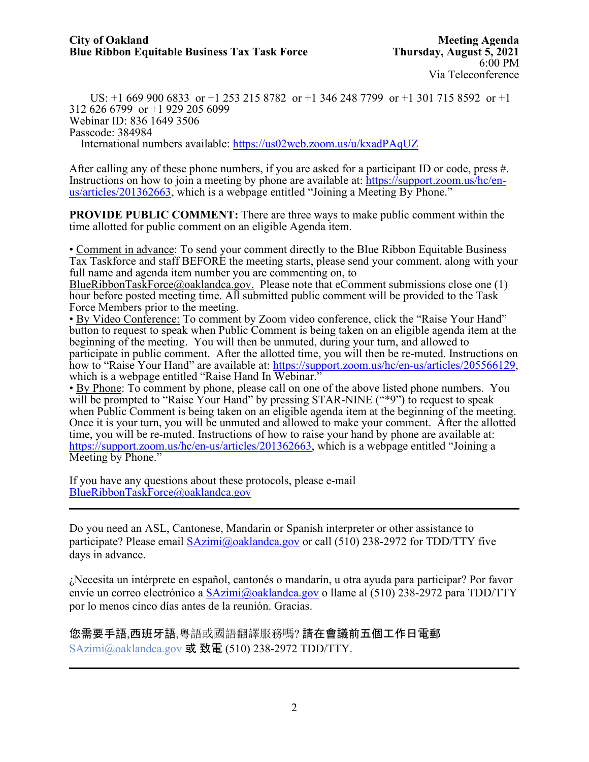US: +1 669 900 6833 or +1 253 215 8782 or +1 346 248 7799 or +1 301 715 8592 or +1 312 626 6799 or +1 929 205 6099 Webinar ID: 836 1649 3506 Passcode: 384984 International numbers available:<https://us02web.zoom.us/u/kxadPAqUZ>

After calling any of these phone numbers, if you are asked for a participant ID or code, press #. Instructions on how to join a meeting by phone are available at: [https://support.zoom.us/hc/en](https://support.zoom.us/hc/en-us/articles/201362663)[us/articles/201362663,](https://support.zoom.us/hc/en-us/articles/201362663) which is a webpage entitled "Joining a Meeting By Phone."

**PROVIDE PUBLIC COMMENT:** There are three ways to make public comment within the time allotted for public comment on an eligible Agenda item.

• Comment in advance: To send your comment directly to the Blue Ribbon Equitable Business Tax Taskforce and staff BEFORE the meeting starts, please send your comment, along with your full name and agenda item number you are commenting on, to

BlueRibbonTaskForce@oaklandca.gov. Please note that eComment submissions close one (1) hour before posted meeting time. All submitted public comment will be provided to the Task Force Members prior to the meeting.

• By Video Conference: To comment by Zoom video conference, click the "Raise Your Hand" button to request to speak when Public Comment is being taken on an eligible agenda item at the beginning of the meeting. You will then be unmuted, during your turn, and allowed to participate in public comment. After the allotted time, you will then be re-muted. Instructions on how to "Raise Your Hand" are available at: [https://support.zoom.us/hc/en-us/articles/205566129,](https://support.zoom.us/hc/en-us/articles/205566129) which is a webpage entitled "Raise Hand In Webinar."

• By Phone: To comment by phone, please call on one of the above listed phone numbers. You will be prompted to "Raise Your Hand" by pressing STAR-NINE ("\*9") to request to speak when Public Comment is being taken on an eligible agenda item at the beginning of the meeting. Once it is your turn, you will be unmuted and allowed to make your comment. After the allotted time, you will be re-muted. Instructions of how to raise your hand by phone are available at: [https://support.zoom.us/hc/en-us/articles/201362663,](https://support.zoom.us/hc/en-us/articles/201362663) which is a webpage entitled "Joining a Meeting by Phone."

If you have any questions about these protocols, please e-mail [BlueRibbonTaskForce@oaklandca.gov](mailto:BlueRibbonTaskForce@oaklandca.gov)  $\mathcal{L}_\mathcal{L} = \mathcal{L}_\mathcal{L} = \mathcal{L}_\mathcal{L} = \mathcal{L}_\mathcal{L} = \mathcal{L}_\mathcal{L} = \mathcal{L}_\mathcal{L} = \mathcal{L}_\mathcal{L} = \mathcal{L}_\mathcal{L} = \mathcal{L}_\mathcal{L} = \mathcal{L}_\mathcal{L} = \mathcal{L}_\mathcal{L} = \mathcal{L}_\mathcal{L} = \mathcal{L}_\mathcal{L} = \mathcal{L}_\mathcal{L} = \mathcal{L}_\mathcal{L} = \mathcal{L}_\mathcal{L} = \mathcal{L}_\mathcal{L}$ 

Do you need an ASL, Cantonese, Mandarin or Spanish interpreter or other assistance to participate? Please email [SAzimi@oaklandca.gov](mailto:SAzimi@oaklandca.gov) or call (510) 238-2972 for TDD/TTY five days in advance.

¿Necesita un intérprete en español, cantonés o mandarín, u otra ayuda para participar? Por favor envíe un correo electrónico a [SAzimi@oaklandca.gov](mailto:SAzimi@oaklandca.gov) o llame al (510) 238-2972 para TDD/TTY por lo menos cinco días antes de la reunión. Gracias.

您需要手語,西班牙語,粵語或國語翻譯服務嗎? 請在會議前五個工作日電郵 [SAzimi@oaklandca.gov](mailto:SAzimi@oaklandca.gov) 或 致電  $(510)$  238-2972 TDD/TTY.

 $\mathcal{L}_\text{max}$  and  $\mathcal{L}_\text{max}$  and  $\mathcal{L}_\text{max}$  and  $\mathcal{L}_\text{max}$  and  $\mathcal{L}_\text{max}$  and  $\mathcal{L}_\text{max}$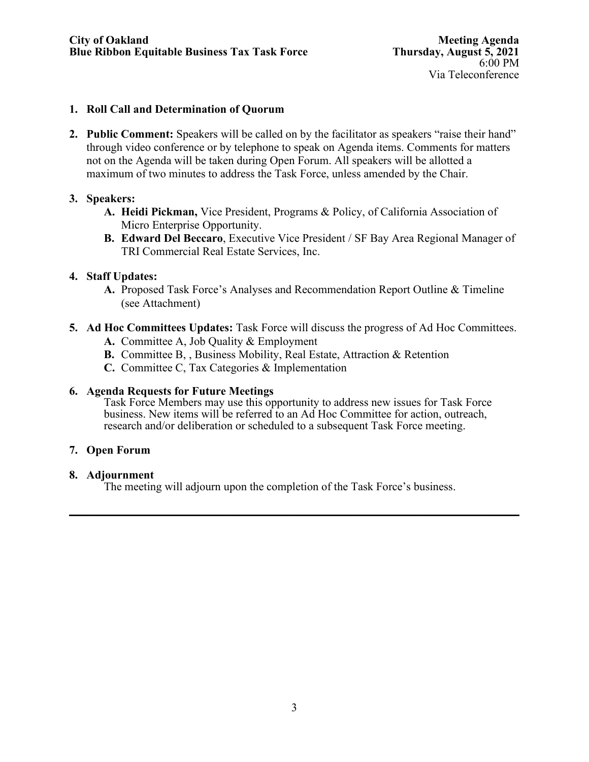### **1. Roll Call and Determination of Quorum**

**2. Public Comment:** Speakers will be called on by the facilitator as speakers "raise their hand" through video conference or by telephone to speak on Agenda items. Comments for matters not on the Agenda will be taken during Open Forum. All speakers will be allotted a maximum of two minutes to address the Task Force, unless amended by the Chair.

# **3. Speakers:**

- **A. Heidi Pickman,** Vice President, Programs & Policy, of California Association of Micro Enterprise Opportunity.
- **B. Edward Del Beccaro**, Executive Vice President / SF Bay Area Regional Manager of TRI Commercial Real Estate Services, Inc.

# **4. Staff Updates:**

- **A.** Proposed Task Force's Analyses and Recommendation Report Outline & Timeline (see Attachment)
- **5. Ad Hoc Committees Updates:** Task Force will discuss the progress of Ad Hoc Committees.
	- **A.** Committee A, Job Quality & Employment
	- **B.** Committee B, , Business Mobility, Real Estate, Attraction & Retention
	- **C.** Committee C, Tax Categories & Implementation

### **6. Agenda Requests for Future Meetings**

Task Force Members may use this opportunity to address new issues for Task Force business. New items will be referred to an Ad Hoc Committee for action, outreach, research and/or deliberation or scheduled to a subsequent Task Force meeting.

# **7. Open Forum**

### **8. Adjournment**

The meeting will adjourn upon the completion of the Task Force's business.

 $\mathcal{L}_\mathcal{L} = \mathcal{L}_\mathcal{L} = \mathcal{L}_\mathcal{L} = \mathcal{L}_\mathcal{L} = \mathcal{L}_\mathcal{L} = \mathcal{L}_\mathcal{L} = \mathcal{L}_\mathcal{L} = \mathcal{L}_\mathcal{L} = \mathcal{L}_\mathcal{L} = \mathcal{L}_\mathcal{L} = \mathcal{L}_\mathcal{L} = \mathcal{L}_\mathcal{L} = \mathcal{L}_\mathcal{L} = \mathcal{L}_\mathcal{L} = \mathcal{L}_\mathcal{L} = \mathcal{L}_\mathcal{L} = \mathcal{L}_\mathcal{L}$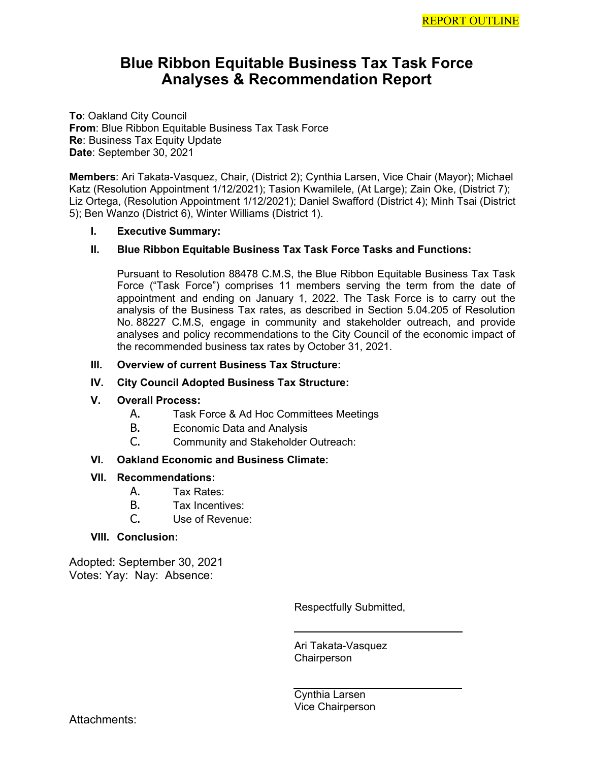# **Blue Ribbon Equitable Business Tax Task Force Analyses & Recommendation Report**

**To**: Oakland City Council **From**: Blue Ribbon Equitable Business Tax Task Force **Re**: Business Tax Equity Update **Date**: September 30, 2021

**Members**: Ari Takata-Vasquez, Chair, (District 2); Cynthia Larsen, Vice Chair (Mayor); Michael Katz (Resolution Appointment 1/12/2021); Tasion Kwamilele, (At Large); Zain Oke, (District 7); Liz Ortega, (Resolution Appointment 1/12/2021); Daniel Swafford (District 4); Minh Tsai (District 5); Ben Wanzo (District 6), Winter Williams (District 1).

#### **I. Executive Summary:**

### **II. Blue Ribbon Equitable Business Tax Task Force Tasks and Functions:**

Pursuant to Resolution [88478 C.M.S,](https://oakland.legistar.com/LegislationDetail.aspx?ID=4746758&GUID=646B0F87-82D0-461F-BEA6-2E31F83D00FA&Options=&Search=) the Blue Ribbon Equitable Business Tax Task Force ("Task Force") comprises 11 members serving the term from the date of appointment and ending on January 1, 2022. The Task Force is to carry out the analysis of the Business Tax rates, as described in Section 5.04.205 of Resolution No. [88227 C.M.S,](https://oakland.legistar.com/LegislationDetail.aspx?ID=4575259&GUID=04127B82-3604-47C3-AC82-B32205190AB5&Options=&Search=) engage in community and stakeholder outreach, and provide analyses and policy recommendations to the City Council of the economic impact of the recommended business tax rates by October 31, 2021.

#### **III. Overview of current Business Tax Structure:**

#### **IV. City Council Adopted Business Tax Structure:**

#### **V. Overall Process:**

- A. Task Force & Ad Hoc Committees Meetings
- B. Economic Data and Analysis<br>C. Community and Stakeholder
- Community and Stakeholder Outreach:

#### **VI. Oakland Economic and Business Climate:**

#### **VII. Recommendations:**

- A. Tax Rates:
- B. Tax Incentives:
- C. Use of Revenue:

#### **VIII. Conclusion:**

Adopted: September 30, 2021 Votes: Yay: Nay: Absence:

Respectfully Submitted,

Ari Takata-Vasquez **Chairperson** 

Cynthia Larsen Vice Chairperson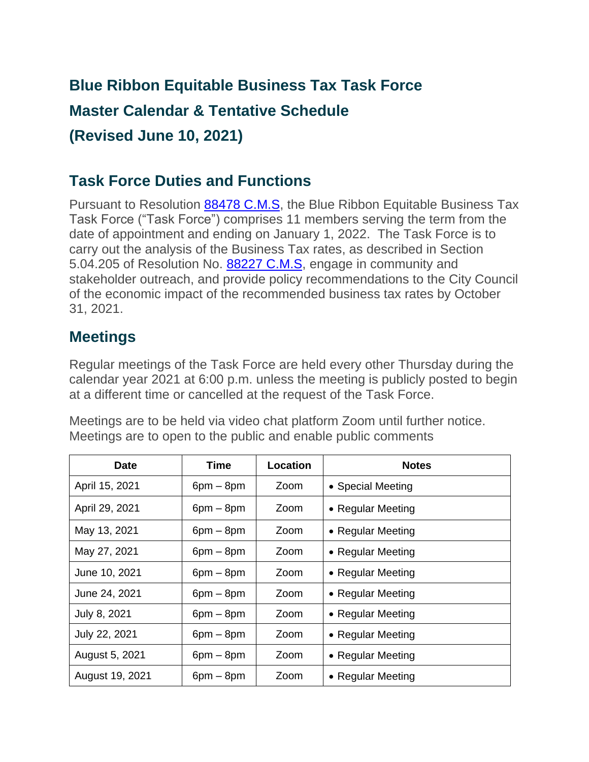# **Blue Ribbon Equitable Business Tax Task Force Master Calendar & Tentative Schedule (Revised June 10, 2021)**

# **Task Force Duties and Functions**

Pursuant to Resolution [88478 C.M.S,](https://oakland.legistar.com/LegislationDetail.aspx?ID=4746758&GUID=646B0F87-82D0-461F-BEA6-2E31F83D00FA&Options=&Search=) the Blue Ribbon Equitable Business Tax Task Force ("Task Force") comprises 11 members serving the term from the date of appointment and ending on January 1, 2022. The Task Force is to carry out the analysis of the Business Tax rates, as described in Section 5.04.205 of Resolution No. [88227 C.M.S,](https://oakland.legistar.com/LegislationDetail.aspx?ID=4575259&GUID=04127B82-3604-47C3-AC82-B32205190AB5&Options=&Search=) engage in community and stakeholder outreach, and provide policy recommendations to the City Council of the economic impact of the recommended business tax rates by October 31, 2021.

# **Meetings**

Regular meetings of the Task Force are held every other Thursday during the calendar year 2021 at 6:00 p.m. unless the meeting is publicly posted to begin at a different time or cancelled at the request of the Task Force.

Meetings are to be held via video chat platform Zoom until further notice. Meetings are to open to the public and enable public comments

| <b>Date</b>     | Time        | Location | <b>Notes</b>      |
|-----------------|-------------|----------|-------------------|
| April 15, 2021  | $6pm - 8pm$ | Zoom     | • Special Meeting |
| April 29, 2021  | $6pm - 8pm$ | Zoom     | • Regular Meeting |
| May 13, 2021    | $6pm - 8pm$ | Zoom     | • Regular Meeting |
| May 27, 2021    | $6pm - 8pm$ | Zoom     | • Regular Meeting |
| June 10, 2021   | $6pm - 8pm$ | Zoom     | • Regular Meeting |
| June 24, 2021   | $6pm - 8pm$ | Zoom     | • Regular Meeting |
| July 8, 2021    | $6pm - 8pm$ | Zoom     | • Regular Meeting |
| July 22, 2021   | $6pm - 8pm$ | Zoom     | • Regular Meeting |
| August 5, 2021  | $6pm - 8pm$ | Zoom     | • Regular Meeting |
| August 19, 2021 | $6pm - 8pm$ | Zoom     | • Regular Meeting |